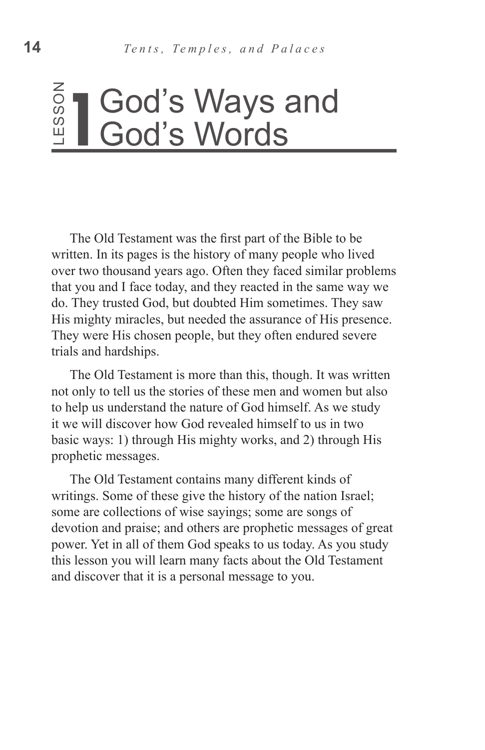# God's Words

The Old Testament was the first part of the Bible to be written. In its pages is the history of many people who lived over two thousand years ago. Often they faced similar problems that you and I face today, and they reacted in the same way we do. They trusted God, but doubted Him sometimes. They saw His mighty miracles, but needed the assurance of His presence. They were His chosen people, but they often endured severe trials and hardships. Examely and **19 COOL CONTIFY STATES COOL** COOL CONTIFY THE Old Testament was the first part of the Bible to written. In its pages is the history of many people who over two thousand years ago. Often they faced similar that

The Old Testament is more than this, though. It was written not only to tell us the stories of these men and women but also to help us understand the nature of God himself. As we study it we will discover how God revealed himself to us in two basic ways: 1) through His mighty works, and 2) through His prophetic messages.

The Old Testament contains many different kinds of writings. Some of these give the history of the nation Israel; some are collections of wise sayings; some are songs of devotion and praise; and others are prophetic messages of great power. Yet in all of them God speaks to us today. As you study this lesson you will learn many facts about the Old Testament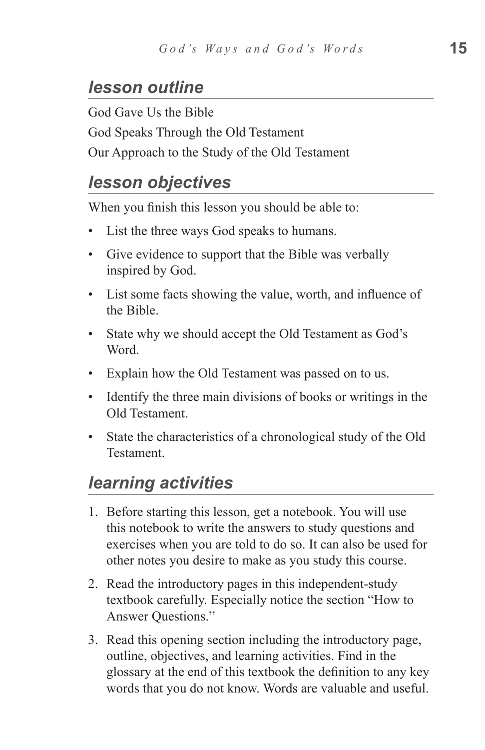#### *lesson outline*

God Gave Us the Bible God Speaks Through the Old Testament Our Approach to the Study of the Old Testament

#### *lesson objectives*

When you finish this lesson you should be able to:

- List the three ways God speaks to humans.
- Give evidence to support that the Bible was verbally inspired by God.
- List some facts showing the value, worth, and influence of the Bible.
- State why we should accept the Old Testament as God's Word.
- Explain how the Old Testament was passed on to us.
- Identify the three main divisions of books or writings in the Old Testament.
- State the characteristics of a chronological study of the Old Testament.

#### *learning activities*

- 1. Before starting this lesson, get a notebook. You will use this notebook to write the answers to study questions and exercises when you are told to do so. It can also be used for other notes you desire to make as you study this course.
- 2. Read the introductory pages in this independent-study textbook carefully. Especially notice the section "How to Answer Questions."
- 3. Read this opening section including the introductory page, outline, objectives, and learning activities. Find in the glossary at the end of this textbook the definition to any key words that you do not know. Words are valuable and useful.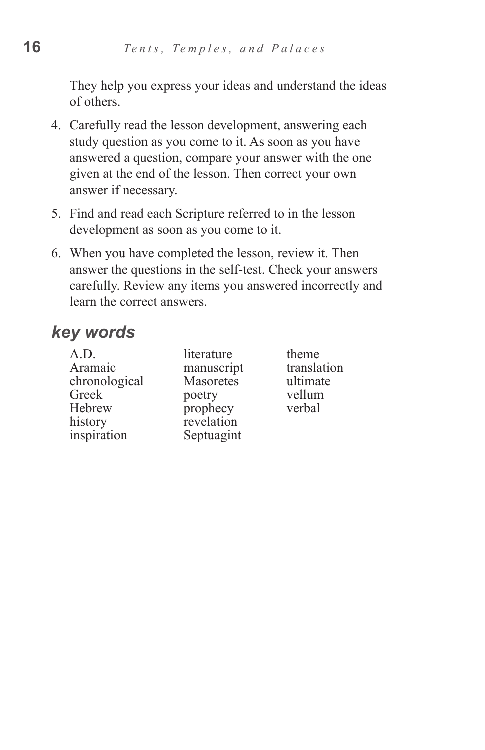They help you express your ideas and understand the ideas of others.

- 4. Carefully read the lesson development, answering each study question as you come to it. As soon as you have answered a question, compare your answer with the one given at the end of the lesson. Then correct your own answer if necessary.
- 5. Find and read each Scripture referred to in the lesson development as soon as you come to it.
- 6. When you have completed the lesson, review it. Then answer the questions in the self-test. Check your answers carefully. Review any items you answered incorrectly and learn the correct answers.

#### *key words*

| A.D.<br>Aramaic<br>chronological<br>Greek<br>Hebrew<br>history<br>inspiration | literature<br>manuscript<br>Masoretes<br>poetry<br>prophecy<br>revelation<br>Septuagint | theme<br>translation<br>ultimate<br>vellum<br>verbal |  |
|-------------------------------------------------------------------------------|-----------------------------------------------------------------------------------------|------------------------------------------------------|--|
|-------------------------------------------------------------------------------|-----------------------------------------------------------------------------------------|------------------------------------------------------|--|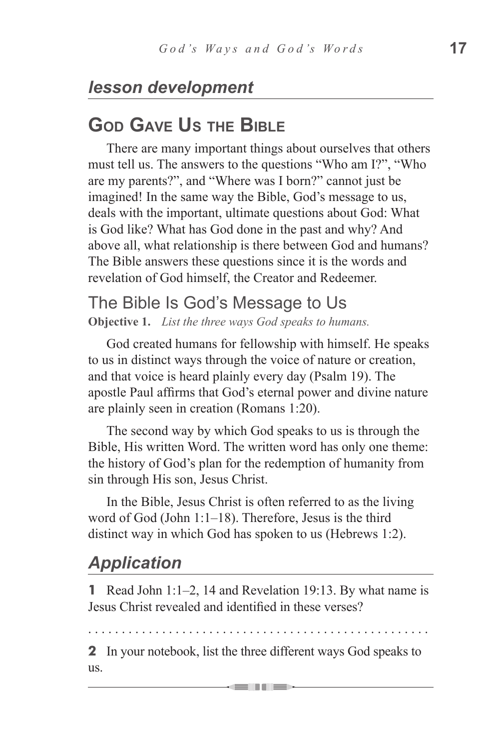# *lesson development*

# **God Gave Us the Bible**

There are many important things about ourselves that others must tell us. The answers to the questions "Who am I?", "Who are my parents?", and "Where was I born?" cannot just be imagined! In the same way the Bible, God's message to us, deals with the important, ultimate questions about God: What is God like? What has God done in the past and why? And above all, what relationship is there between God and humans? The Bible answers these questions since it is the words and revelation of God himself, the Creator and Redeemer.

# The Bible Is God's Message to Us

**Objective 1.** *List the three ways God speaks to humans.*

God created humans for fellowship with himself. He speaks to us in distinct ways through the voice of nature or creation, and that voice is heard plainly every day (Psalm 19). The apostle Paul affirms that God's eternal power and divine nature are plainly seen in creation (Romans 1:20).

The second way by which God speaks to us is through the Bible, His written Word. The written word has only one theme: the history of God's plan for the redemption of humanity from sin through His son, Jesus Christ.

In the Bible, Jesus Christ is often referred to as the living word of God (John 1:1–18). Therefore, Jesus is the third distinct way in which God has spoken to us (Hebrews 1:2).

# *Application*

**1** Read John 1:1–2, 14 and Revelation 19:13. By what name is Jesus Christ revealed and identified in these verses?

. . . . . . . . . . . . . . . . . . . . . . . . . . . . . . . . . . . . . . . . . . . . . . . . . . .

**2** In your notebook, list the three different ways God speaks to us.

= 11 1 1 1 =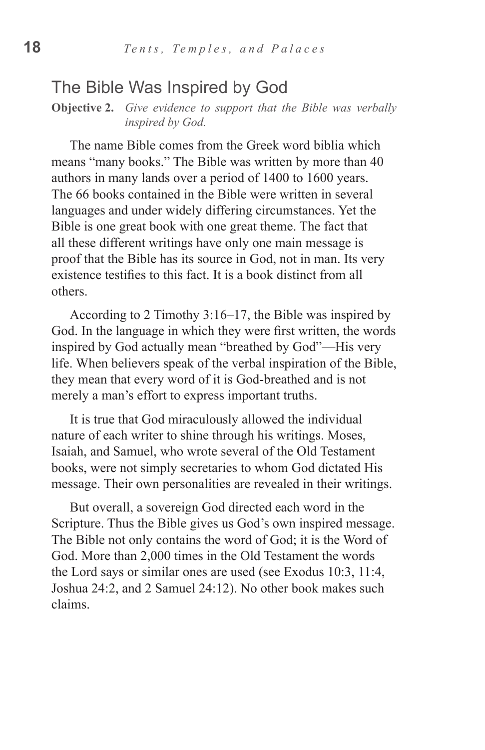#### The Bible Was Inspired by God

**Objective 2.** *Give evidence to support that the Bible was verbally inspired by God.*

The name Bible comes from the Greek word biblia which means "many books." The Bible was written by more than 40 authors in many lands over a period of 1400 to 1600 years. The 66 books contained in the Bible were written in several languages and under widely differing circumstances. Yet the Bible is one great book with one great theme. The fact that all these different writings have only one main message is proof that the Bible has its source in God, not in man. Its very existence testifies to this fact. It is a book distinct from all others.

According to 2 Timothy 3:16–17, the Bible was inspired by God. In the language in which they were first written, the words inspired by God actually mean "breathed by God"—His very life. When believers speak of the verbal inspiration of the Bible, they mean that every word of it is God-breathed and is not merely a man's effort to express important truths.

It is true that God miraculously allowed the individual nature of each writer to shine through his writings. Moses, Isaiah, and Samuel, who wrote several of the Old Testament books, were not simply secretaries to whom God dictated His message. Their own personalities are revealed in their writings.

But overall, a sovereign God directed each word in the Scripture. Thus the Bible gives us God's own inspired message. The Bible not only contains the word of God; it is the Word of God. More than 2,000 times in the Old Testament the words the Lord says or similar ones are used (see Exodus 10:3, 11:4, Joshua 24:2, and 2 Samuel 24:12). No other book makes such claims.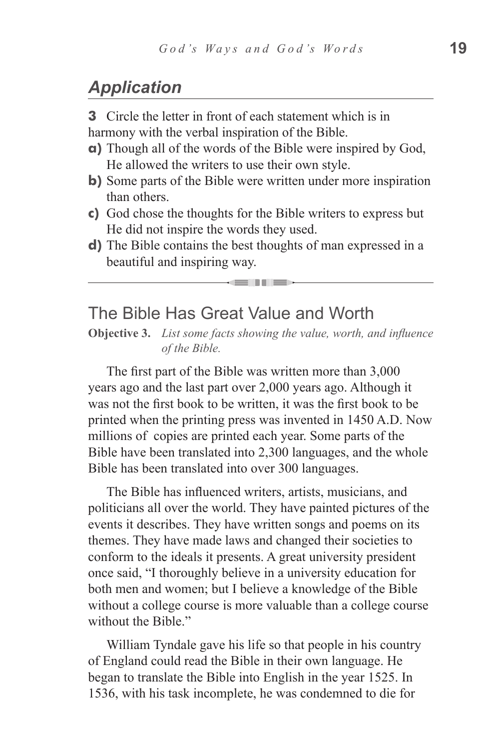# *Application*

**3** Circle the letter in front of each statement which is in harmony with the verbal inspiration of the Bible.

- **a)** Though all of the words of the Bible were inspired by God, He allowed the writers to use their own style.
- **b**) Some parts of the Bible were written under more inspiration than others.
- **c)** God chose the thoughts for the Bible writers to express but He did not inspire the words they used.
- **d)** The Bible contains the best thoughts of man expressed in a beautiful and inspiring way.

<u>s in Tis</u>

#### The Bible Has Great Value and Worth

**Objective 3.** *List some facts showing the value, worth, and influence of the Bible.*

The first part of the Bible was written more than 3,000 years ago and the last part over 2,000 years ago. Although it was not the first book to be written, it was the first book to be printed when the printing press was invented in 1450 A.D. Now millions of copies are printed each year. Some parts of the Bible have been translated into 2,300 languages, and the whole Bible has been translated into over 300 languages.

The Bible has influenced writers, artists, musicians, and politicians all over the world. They have painted pictures of the events it describes. They have written songs and poems on its themes. They have made laws and changed their societies to conform to the ideals it presents. A great university president once said, "I thoroughly believe in a university education for both men and women; but I believe a knowledge of the Bible without a college course is more valuable than a college course without the Bible."

William Tyndale gave his life so that people in his country of England could read the Bible in their own language. He began to translate the Bible into English in the year 1525. In 1536, with his task incomplete, he was condemned to die for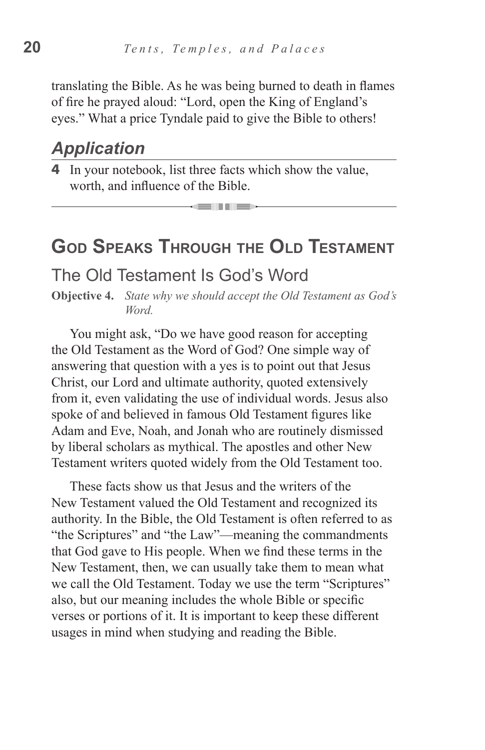translating the Bible. As he was being burned to death in flames of fire he prayed aloud: "Lord, open the King of England's eyes." What a price Tyndale paid to give the Bible to others!

#### *Application*

**4** In your notebook, list three facts which show the value, worth, and influence of the Bible.

# **God Speaks Through the Old Testament**

= III II =

#### The Old Testament Is God's Word

**Objective 4.** *State why we should accept the Old Testament as God's Word.*

You might ask, "Do we have good reason for accepting the Old Testament as the Word of God? One simple way of answering that question with a yes is to point out that Jesus Christ, our Lord and ultimate authority, quoted extensively from it, even validating the use of individual words. Jesus also spoke of and believed in famous Old Testament figures like Adam and Eve, Noah, and Jonah who are routinely dismissed by liberal scholars as mythical. The apostles and other New Testament writers quoted widely from the Old Testament too.

These facts show us that Jesus and the writers of the New Testament valued the Old Testament and recognized its authority. In the Bible, the Old Testament is often referred to as "the Scriptures" and "the Law"—meaning the commandments that God gave to His people. When we find these terms in the New Testament, then, we can usually take them to mean what we call the Old Testament. Today we use the term "Scriptures" also, but our meaning includes the whole Bible or specific verses or portions of it. It is important to keep these different usages in mind when studying and reading the Bible.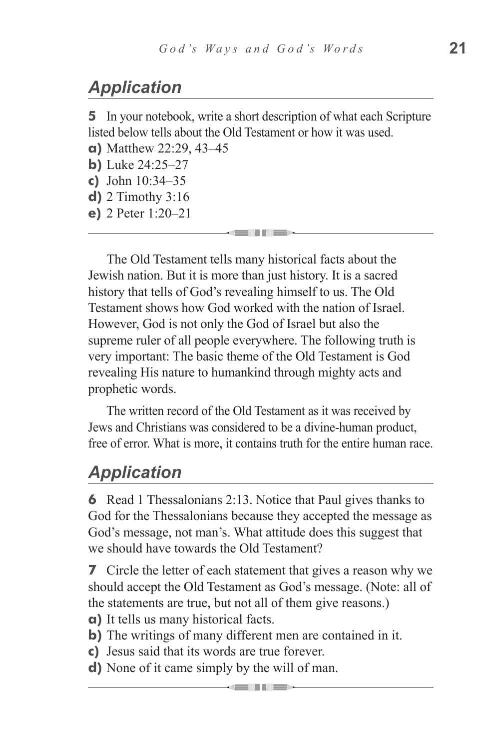# *Application*

**5** In your notebook, write a short description of what each Scripture listed below tells about the Old Testament or how it was used. **a)** Matthew 22:29, 43–45

- **b)** Luke 24:25–27
- **c)** John 10:34–35
- **d)** 2 Timothy 3:16
- **e)** 2 Peter 1:20–21

The Old Testament tells many historical facts about the Jewish nation. But it is more than just history. It is a sacred history that tells of God's revealing himself to us. The Old Testament shows how God worked with the nation of Israel. However, God is not only the God of Israel but also the supreme ruler of all people everywhere. The following truth is very important: The basic theme of the Old Testament is God revealing His nature to humankind through mighty acts and prophetic words.

The written record of the Old Testament as it was received by Jews and Christians was considered to be a divine-human product, free of error. What is more, it contains truth for the entire human race.

#### *Application*

**6** Read 1 Thessalonians 2:13. Notice that Paul gives thanks to God for the Thessalonians because they accepted the message as God's message, not man's. What attitude does this suggest that we should have towards the Old Testament?

**7** Circle the letter of each statement that gives a reason why we should accept the Old Testament as God's message. (Note: all of the statements are true, but not all of them give reasons.)

- **a)** It tells us many historical facts.
- **b**) The writings of many different men are contained in it.
- **c)** Jesus said that its words are true forever.
- **d)** None of it came simply by the will of man.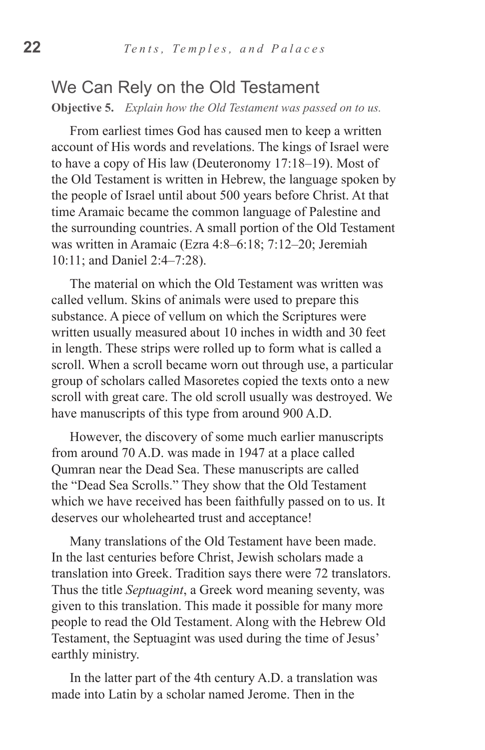#### We Can Rely on the Old Testament **Objective 5.** *Explain how the Old Testament was passed on to us.*

From earliest times God has caused men to keep a written account of His words and revelations. The kings of Israel were to have a copy of His law (Deuteronomy 17:18–19). Most of the Old Testament is written in Hebrew, the language spoken by the people of Israel until about 500 years before Christ. At that time Aramaic became the common language of Palestine and the surrounding countries. A small portion of the Old Testament was written in Aramaic (Ezra 4:8–6:18; 7:12–20; Jeremiah 10:11; and Daniel 2:4–7:28).

The material on which the Old Testament was written was called vellum. Skins of animals were used to prepare this substance. A piece of vellum on which the Scriptures were written usually measured about 10 inches in width and 30 feet in length. These strips were rolled up to form what is called a scroll. When a scroll became worn out through use, a particular group of scholars called Masoretes copied the texts onto a new scroll with great care. The old scroll usually was destroyed. We have manuscripts of this type from around 900 A.D.

However, the discovery of some much earlier manuscripts from around 70 A.D. was made in 1947 at a place called Qumran near the Dead Sea. These manuscripts are called the "Dead Sea Scrolls." They show that the Old Testament which we have received has been faithfully passed on to us. It deserves our wholehearted trust and acceptance!

Many translations of the Old Testament have been made. In the last centuries before Christ, Jewish scholars made a translation into Greek. Tradition says there were 72 translators. Thus the title *Septuagint*, a Greek word meaning seventy, was given to this translation. This made it possible for many more people to read the Old Testament. Along with the Hebrew Old Testament, the Septuagint was used during the time of Jesus' earthly ministry.

In the latter part of the 4th century A.D. a translation was made into Latin by a scholar named Jerome. Then in the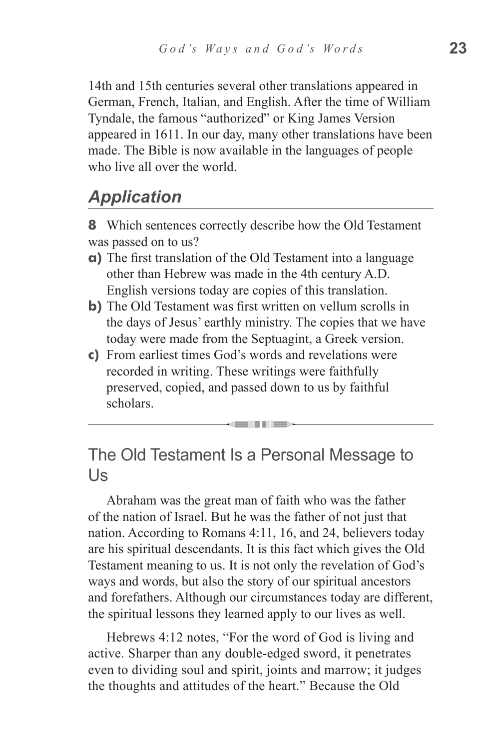14th and 15th centuries several other translations appeared in German, French, Italian, and English. After the time of William Tyndale, the famous "authorized" or King James Version appeared in 1611. In our day, many other translations have been made. The Bible is now available in the languages of people who live all over the world.

# *Application*

**8** Which sentences correctly describe how the Old Testament was passed on to us?

- **a)** The first translation of the Old Testament into a language other than Hebrew was made in the 4th century A.D. English versions today are copies of this translation.
- **b**) The Old Testament was first written on vellum scrolls in the days of Jesus' earthly ministry. The copies that we have today were made from the Septuagint, a Greek version.
- **c)** From earliest times God's words and revelations were recorded in writing. These writings were faithfully preserved, copied, and passed down to us by faithful scholars.

#### The Old Testament Is a Personal Message to Us

Abraham was the great man of faith who was the father of the nation of Israel. But he was the father of not just that nation. According to Romans 4:11, 16, and 24, believers today are his spiritual descendants. It is this fact which gives the Old Testament meaning to us. It is not only the revelation of God's ways and words, but also the story of our spiritual ancestors and forefathers. Although our circumstances today are different, the spiritual lessons they learned apply to our lives as well.

Hebrews 4:12 notes, "For the word of God is living and active. Sharper than any double-edged sword, it penetrates even to dividing soul and spirit, joints and marrow; it judges the thoughts and attitudes of the heart." Because the Old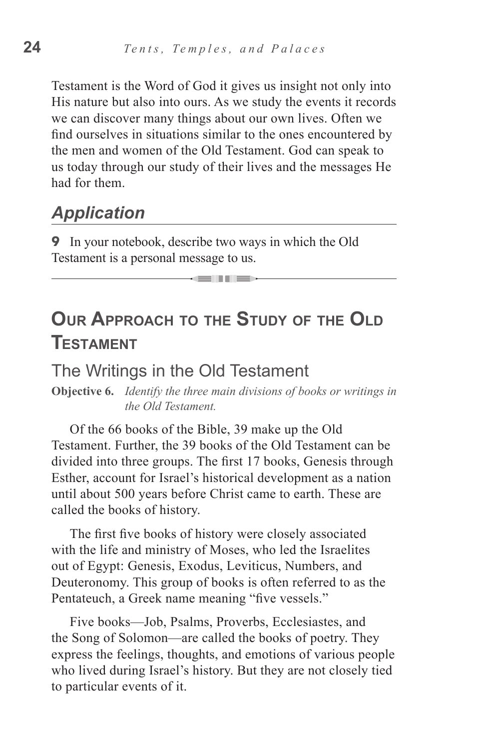Testament is the Word of God it gives us insight not only into His nature but also into ours. As we study the events it records we can discover many things about our own lives. Often we find ourselves in situations similar to the ones encountered by the men and women of the Old Testament. God can speak to us today through our study of their lives and the messages He had for them.

### *Application*

**9** In your notebook, describe two ways in which the Old Testament is a personal message to us.

# **Our Approach to the Study of the Old Testament**

<u>will</u> like

#### The Writings in the Old Testament

**Objective 6.** *Identify the three main divisions of books or writings in the Old Testament.*

Of the 66 books of the Bible, 39 make up the Old Testament. Further, the 39 books of the Old Testament can be divided into three groups. The first 17 books, Genesis through Esther, account for Israel's historical development as a nation until about 500 years before Christ came to earth. These are called the books of history.

The first five books of history were closely associated with the life and ministry of Moses, who led the Israelites out of Egypt: Genesis, Exodus, Leviticus, Numbers, and Deuteronomy. This group of books is often referred to as the Pentateuch, a Greek name meaning "five vessels."

Five books—Job, Psalms, Proverbs, Ecclesiastes, and the Song of Solomon—are called the books of poetry. They express the feelings, thoughts, and emotions of various people who lived during Israel's history. But they are not closely tied to particular events of it.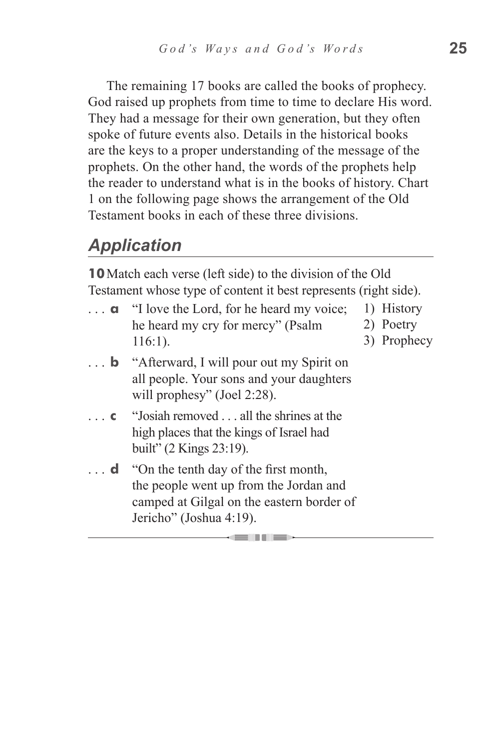The remaining 17 books are called the books of prophecy. God raised up prophets from time to time to declare His word. They had a message for their own generation, but they often spoke of future events also. Details in the historical books are the keys to a proper understanding of the message of the prophets. On the other hand, the words of the prophets help the reader to understand what is in the books of history. Chart 1 on the following page shows the arrangement of the Old Testament books in each of these three divisions.

# *Application*

**10**Match each verse (left side) to the division of the Old Testament whose type of content it best represents (right side).

|            | $\ldots$ <b>q</b> "I love the Lord, for he heard my voice;<br>he heard my cry for mercy" (Psalm<br>$116:1$ ).                                                      | 1) History<br>2) Poetry<br>3) Prophecy |
|------------|--------------------------------------------------------------------------------------------------------------------------------------------------------------------|----------------------------------------|
|            | <b>b</b> "Afterward, I will pour out my Spirit on<br>all people. Your sons and your daughters<br>will prophesy" (Joel 2:28).                                       |                                        |
| $\ldots$ C | "Josiah removed all the shrines at the<br>high places that the kings of Israel had<br>built" (2 Kings 23:19).                                                      |                                        |
|            | $\ldots$ d "On the tenth day of the first month,<br>the people went up from the Jordan and<br>camped at Gilgal on the eastern border of<br>Jericho" (Joshua 4:19). |                                        |
|            |                                                                                                                                                                    |                                        |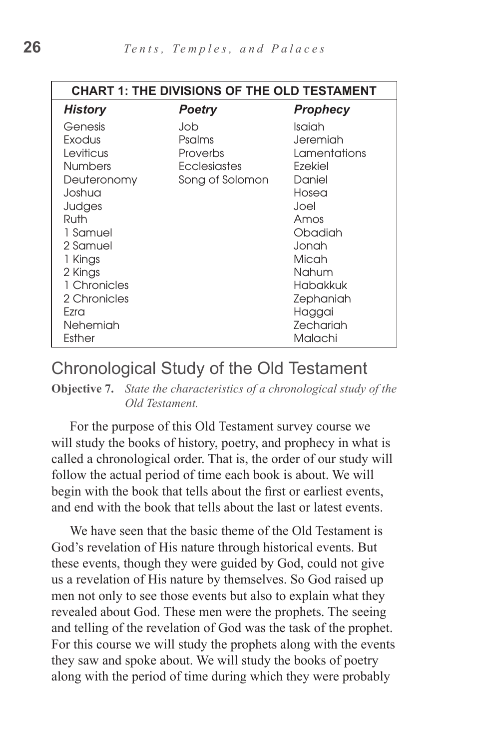| <b>CHART 1: THE DIVISIONS OF THE OLD TESTAMENT</b> |                 |               |  |  |  |
|----------------------------------------------------|-----------------|---------------|--|--|--|
| <b>History</b>                                     | <b>Poetry</b>   | Prophecy      |  |  |  |
| Genesis                                            | Job             | Isaiah        |  |  |  |
| Exodus                                             | Psalms          | Jeremiah      |  |  |  |
| Leviticus                                          | Proverbs        | I amentations |  |  |  |
| <b>Numbers</b>                                     | Ecclesiastes    | Ezekiel       |  |  |  |
| Deuteronomy                                        | Song of Solomon | Daniel        |  |  |  |
| Joshua                                             |                 | Hosea         |  |  |  |
| Judges                                             |                 | Joel          |  |  |  |
| Ruth                                               |                 | Amos          |  |  |  |
| 1 Samuel                                           |                 | Obadiah       |  |  |  |
| 2 Samuel                                           |                 | Jonah         |  |  |  |
| 1 Kings                                            |                 | Micah         |  |  |  |
| 2 Kings                                            |                 | Nahum         |  |  |  |
| 1 Chronicles                                       |                 | Habakkuk      |  |  |  |
| 2 Chronicles                                       |                 | Zephaniah     |  |  |  |
| Fzra                                               |                 | Haggai        |  |  |  |
| Nehemiah                                           |                 | Zechariah     |  |  |  |
| Esther                                             |                 | Malachi       |  |  |  |

Chronological Study of the Old Testament

**Objective 7.** *State the characteristics of a chronological study of the Old Testament.*

For the purpose of this Old Testament survey course we will study the books of history, poetry, and prophecy in what is called a chronological order. That is, the order of our study will follow the actual period of time each book is about. We will begin with the book that tells about the first or earliest events, and end with the book that tells about the last or latest events.

We have seen that the basic theme of the Old Testament is God's revelation of His nature through historical events. But these events, though they were guided by God, could not give us a revelation of His nature by themselves. So God raised up men not only to see those events but also to explain what they revealed about God. These men were the prophets. The seeing and telling of the revelation of God was the task of the prophet. For this course we will study the prophets along with the events they saw and spoke about. We will study the books of poetry along with the period of time during which they were probably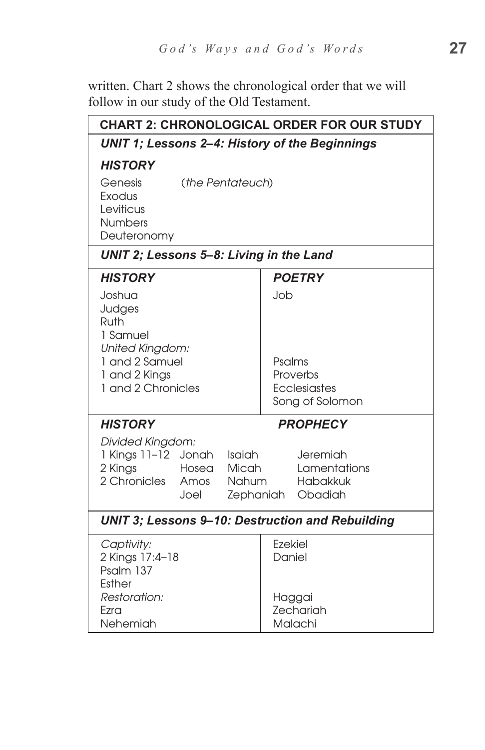written. Chart 2 shows the chronological order that we will follow in our study of the Old Testament.

| <b>CHART 2: CHRONOLOGICAL ORDER FOR OUR STUDY</b>                                                                              |                                                              |  |  |  |  |
|--------------------------------------------------------------------------------------------------------------------------------|--------------------------------------------------------------|--|--|--|--|
| UNIT 1; Lessons 2-4: History of the Beginnings                                                                                 |                                                              |  |  |  |  |
| <b>HISTORY</b>                                                                                                                 |                                                              |  |  |  |  |
| Genesis<br>(the Pentateuch)<br>Exodus<br>Leviticus<br><b>Numbers</b><br>Deuteronomy                                            |                                                              |  |  |  |  |
| UNIT 2; Lessons 5-8: Living in the Land                                                                                        |                                                              |  |  |  |  |
| <b>HISTORY</b>                                                                                                                 | <b>POETRY</b>                                                |  |  |  |  |
| Joshua<br>Judges<br>Ruth<br>1 Samuel<br>United Kingdom:<br>1 and 2 Samuel<br>1 and 2 Kings<br>1 and 2 Chronicles               | Job<br>Psalms<br>Proverbs<br>Ecclesiastes<br>Song of Solomon |  |  |  |  |
| <b>HISTORY</b>                                                                                                                 | <b>PROPHECY</b>                                              |  |  |  |  |
| Divided Kingdom:<br>1 Kings 11-12 Jonah<br>Isaiah<br>2 Kings<br>Hosea<br>Micah<br>2 Chronicles<br><b>Nahum</b><br>Amos<br>Joel | Jeremiah<br>Lamentations<br>Habakkuk<br>Zephaniah Obadiah    |  |  |  |  |
| <b>UNIT 3; Lessons 9-10: Destruction and Rebuilding</b>                                                                        |                                                              |  |  |  |  |
| Captivity:<br>2 Kings 17:4-18<br>Psalm 137<br>Esther<br>Restoration:<br>Ezra<br>Nehemiah                                       | Ezekiel<br>Daniel<br>Haggai<br>Zechariah<br>Malachi          |  |  |  |  |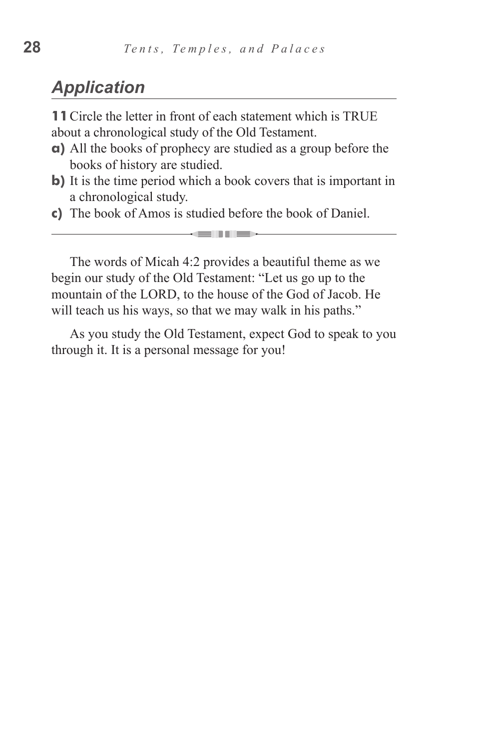#### *Application*

**11**Circle the letter in front of each statement which is TRUE about a chronological study of the Old Testament.

- **a)** All the books of prophecy are studied as a group before the books of history are studied.
- **b)** It is the time period which a book covers that is important in a chronological study.

all lex

**c)** The book of Amos is studied before the book of Daniel.

The words of Micah 4:2 provides a beautiful theme as we begin our study of the Old Testament: "Let us go up to the mountain of the LORD, to the house of the God of Jacob. He will teach us his ways, so that we may walk in his paths."

As you study the Old Testament, expect God to speak to you through it. It is a personal message for you!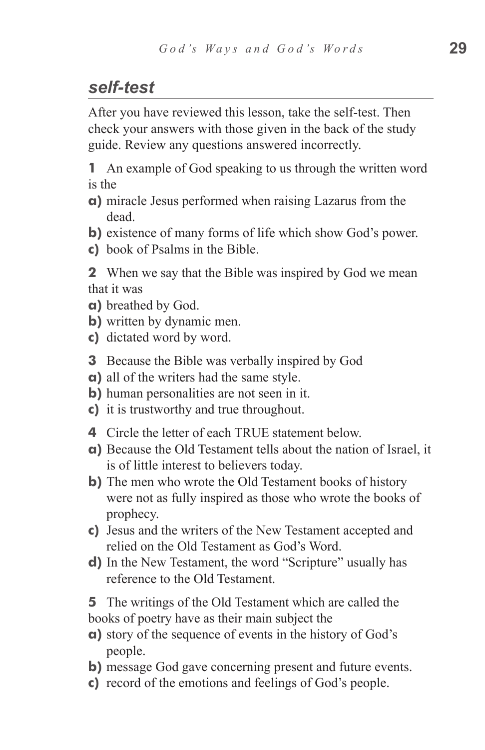### *self-test*

After you have reviewed this lesson, take the self-test. Then check your answers with those given in the back of the study guide. Review any questions answered incorrectly.

**1** An example of God speaking to us through the written word is the

- **a)** miracle Jesus performed when raising Lazarus from the dead.
- **b)** existence of many forms of life which show God's power.
- **c)** book of Psalms in the Bible.

**2** When we say that the Bible was inspired by God we mean that it was

- **a)** breathed by God.
- **b)** written by dynamic men.
- **c**) dictated word by word.
- **3** Because the Bible was verbally inspired by God
- **a)** all of the writers had the same style.
- **b**) human personalities are not seen in it.
- **c)** it is trustworthy and true throughout.
- **4** Circle the letter of each TRUE statement below.
- **a)** Because the Old Testament tells about the nation of Israel, it is of little interest to believers today.
- **b**) The men who wrote the Old Testament books of history were not as fully inspired as those who wrote the books of prophecy.
- **c)** Jesus and the writers of the New Testament accepted and relied on the Old Testament as God's Word.
- **d)** In the New Testament, the word "Scripture" usually has reference to the Old Testament.

**5** The writings of the Old Testament which are called the books of poetry have as their main subject the

- **a)** story of the sequence of events in the history of God's people.
- **b)** message God gave concerning present and future events.
- **c)** record of the emotions and feelings of God's people.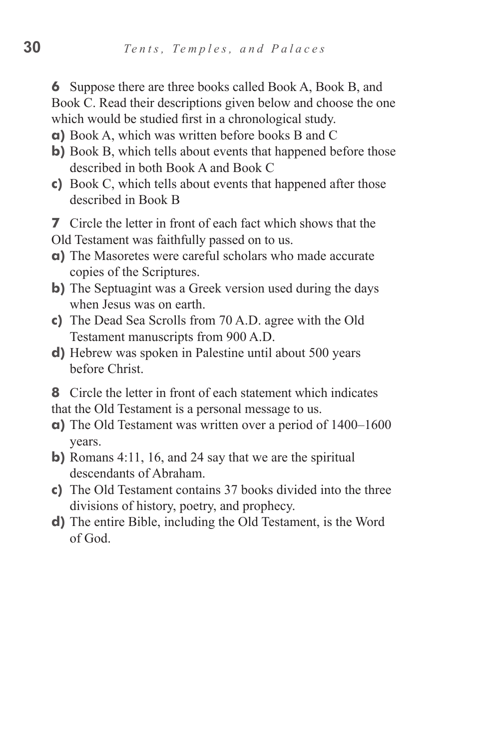**6** Suppose there are three books called Book A, Book B, and Book C. Read their descriptions given below and choose the one which would be studied first in a chronological study.

- **a)** Book A, which was written before books B and C
- **b**) Book B, which tells about events that happened before those described in both Book A and Book C
- **c)** Book C, which tells about events that happened after those described in Book B
- **7** Circle the letter in front of each fact which shows that the
- Old Testament was faithfully passed on to us.
- **a)** The Masoretes were careful scholars who made accurate copies of the Scriptures.
- **b)** The Septuagint was a Greek version used during the days when Jesus was on earth.
- **c)** The Dead Sea Scrolls from 70 A.D. agree with the Old Testament manuscripts from 900 A.D.
- **d)** Hebrew was spoken in Palestine until about 500 years before Christ.
- **8** Circle the letter in front of each statement which indicates that the Old Testament is a personal message to us.
- **a)** The Old Testament was written over a period of 1400–1600 years.
- **b)** Romans 4:11, 16, and 24 say that we are the spiritual descendants of Abraham.
- **c)** The Old Testament contains 37 books divided into the three divisions of history, poetry, and prophecy.
- **d)** The entire Bible, including the Old Testament, is the Word of God.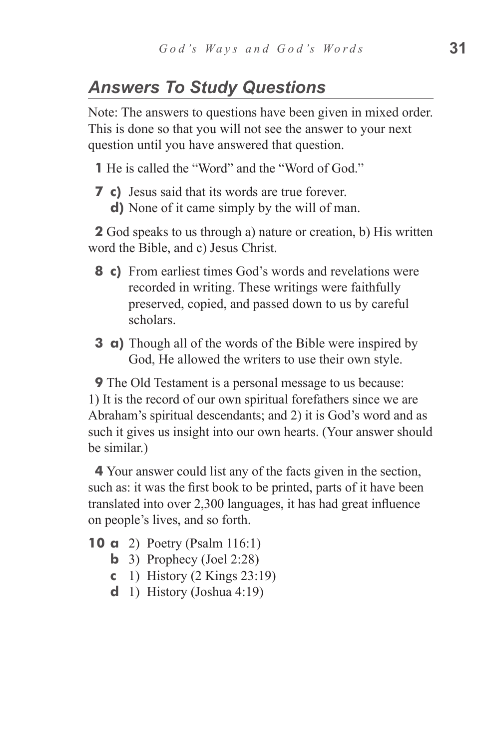#### *Answers To Study Questions*

Note: The answers to questions have been given in mixed order. This is done so that you will not see the answer to your next question until you have answered that question.

**1** He is called the "Word" and the "Word of God."

**7** c) Jesus said that its words are true forever. **d**) None of it came simply by the will of man.

**2** God speaks to us through a) nature or creation, b) His written word the Bible, and c) Jesus Christ.

- **8 c)** From earliest times God's words and revelations were recorded in writing. These writings were faithfully preserved, copied, and passed down to us by careful scholars.
- **3 a**) Though all of the words of the Bible were inspired by God, He allowed the writers to use their own style.

**9** The Old Testament is a personal message to us because: 1) It is the record of our own spiritual forefathers since we are Abraham's spiritual descendants; and 2) it is God's word and as such it gives us insight into our own hearts. (Your answer should be similar.)

**4** Your answer could list any of the facts given in the section, such as: it was the first book to be printed, parts of it have been translated into over 2,300 languages, it has had great influence on people's lives, and so forth.

- **10 a** 2) Poetry (Psalm 116:1)
	- **b** 3) Prophecy (Joel 2:28)
	- **c**  1) History (2 Kings 23:19)
	- **d** 1) History (Joshua 4:19)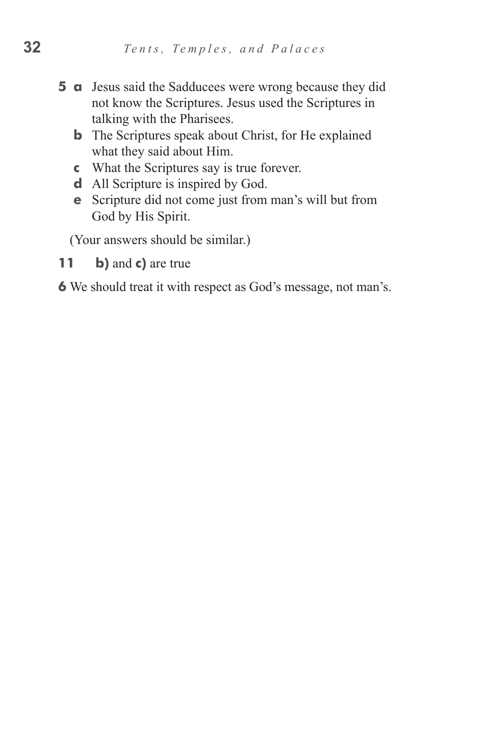- **5 a** Jesus said the Sadducees were wrong because they did not know the Scriptures. Jesus used the Scriptures in talking with the Pharisees.
	- **b** The Scriptures speak about Christ, for He explained what they said about Him.
	- **c**  What the Scriptures say is true forever.
	- **d** All Scripture is inspired by God.
	- **e** Scripture did not come just from man's will but from God by His Spirit.

(Your answers should be similar.)

**11 b)** and **c)** are true

**6** We should treat it with respect as God's message, not man's.